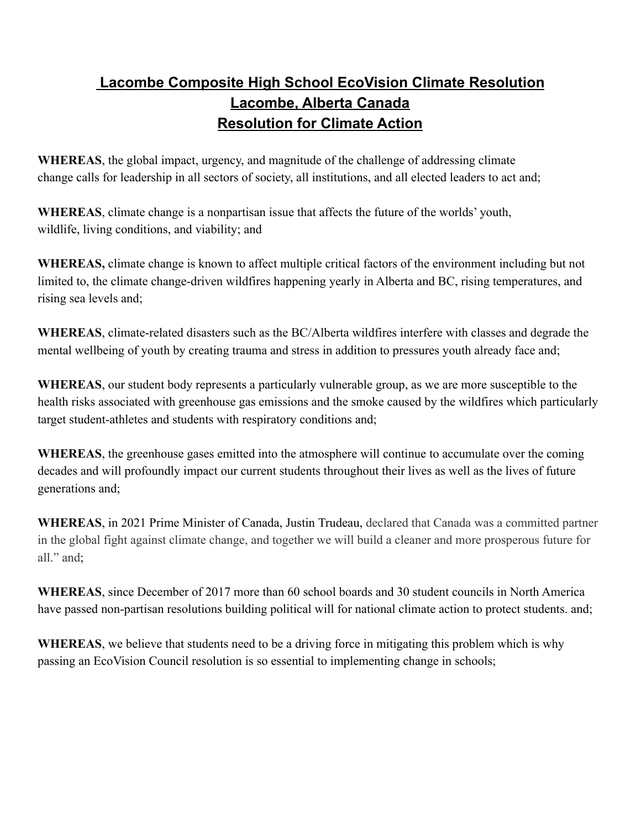## **Lacombe Composite High School EcoVision Climate Resolution Lacombe, Alberta Canada Resolution for Climate Action**

**WHEREAS**, the global impact, urgency, and magnitude of the challenge of addressing climate change calls for leadership in all sectors of society, all institutions, and all elected leaders to act and;

**WHEREAS**, climate change is a nonpartisan issue that affects the future of the worlds' youth, wildlife, living conditions, and viability; and

**WHEREAS,** climate change is known to affect multiple critical factors of the environment including but not limited to, the climate change-driven wildfires happening yearly in Alberta and BC, rising temperatures, and rising sea levels and;

**WHEREAS**, climate-related disasters such as the BC/Alberta wildfires interfere with classes and degrade the mental wellbeing of youth by creating trauma and stress in addition to pressures youth already face and;

**WHEREAS**, our student body represents a particularly vulnerable group, as we are more susceptible to the health risks associated with greenhouse gas emissions and the smoke caused by the wildfires which particularly target student-athletes and students with respiratory conditions and;

**WHEREAS**, the greenhouse gases emitted into the atmosphere will continue to accumulate over the coming decades and will profoundly impact our current students throughout their lives as well as the lives of future generations and;

**WHEREAS**, in 2021 Prime Minister of Canada, Justin Trudeau, declared that Canada was a committed partner in the global fight against climate change, and together we will build a cleaner and more prosperous future for all." and;

**WHEREAS**, since December of 2017 more than 60 school boards and 30 student councils in North America have passed non-partisan resolutions building political will for national climate action to protect students. and;

**WHEREAS**, we believe that students need to be a driving force in mitigating this problem which is why passing an EcoVision Council resolution is so essential to implementing change in schools;